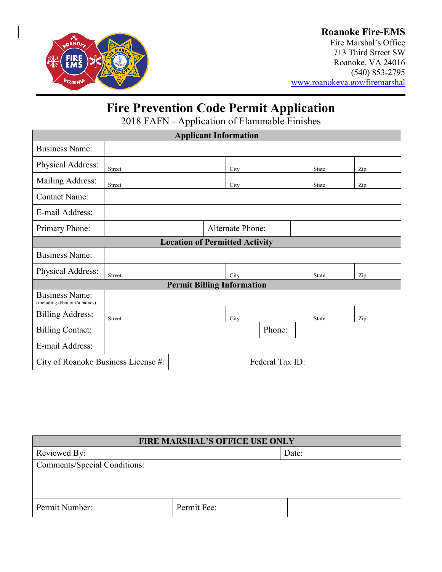

## **Roanoke Fire-EMS**

Fire Marshal's Office 713 Third Street SW Roanoke, VA 24016 (540) 853-2795 [www.roanokeva.gov/firemarshal](http://www.roanokeva.gov/firemarshal)

# **Fire Prevention Code Permit Application**

2018 FAFN - Application of Flammable Finishes

| <b>Applicant Information</b>                            |                         |  |      |        |  |              |     |  |
|---------------------------------------------------------|-------------------------|--|------|--------|--|--------------|-----|--|
| <b>Business Name:</b>                                   |                         |  |      |        |  |              |     |  |
| Physical Address:                                       | <b>Street</b>           |  | City |        |  | <b>State</b> | Zip |  |
| Mailing Address:                                        | <b>Street</b>           |  | City |        |  | <b>State</b> | Zip |  |
| <b>Contact Name:</b>                                    |                         |  |      |        |  |              |     |  |
| E-mail Address:                                         |                         |  |      |        |  |              |     |  |
| Primary Phone:                                          | <b>Alternate Phone:</b> |  |      |        |  |              |     |  |
| <b>Location of Permitted Activity</b>                   |                         |  |      |        |  |              |     |  |
| <b>Business Name:</b>                                   |                         |  |      |        |  |              |     |  |
| Physical Address:                                       | <b>Street</b>           |  | City |        |  | <b>State</b> | Zip |  |
| <b>Permit Billing Information</b>                       |                         |  |      |        |  |              |     |  |
| <b>Business Name:</b><br>(including d/b/a or t/a names) |                         |  |      |        |  |              |     |  |
| <b>Billing Address:</b>                                 | <b>Street</b>           |  | City |        |  | State        | Zip |  |
| <b>Billing Contact:</b>                                 |                         |  |      | Phone: |  |              |     |  |
| E-mail Address:                                         |                         |  |      |        |  |              |     |  |
| Federal Tax ID:<br>City of Roanoke Business License #:  |                         |  |      |        |  |              |     |  |

| <b>FIRE MARSHAL'S OFFICE USE ONLY</b> |             |       |  |  |
|---------------------------------------|-------------|-------|--|--|
| Reviewed By:                          |             | Date: |  |  |
| <b>Comments/Special Conditions:</b>   |             |       |  |  |
|                                       |             |       |  |  |
|                                       |             |       |  |  |
| Permit Number:                        | Permit Fee: |       |  |  |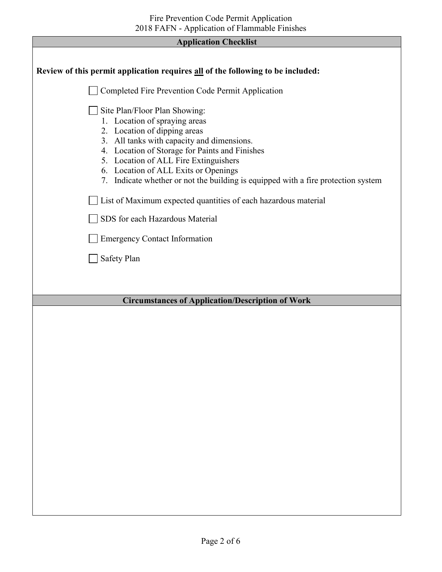| <b>Application Checklist</b>                                                                                                                                                                                                                                                                                                                                                                                                           |  |  |
|----------------------------------------------------------------------------------------------------------------------------------------------------------------------------------------------------------------------------------------------------------------------------------------------------------------------------------------------------------------------------------------------------------------------------------------|--|--|
|                                                                                                                                                                                                                                                                                                                                                                                                                                        |  |  |
| Review of this permit application requires all of the following to be included:                                                                                                                                                                                                                                                                                                                                                        |  |  |
| Completed Fire Prevention Code Permit Application                                                                                                                                                                                                                                                                                                                                                                                      |  |  |
| Site Plan/Floor Plan Showing:<br>1. Location of spraying areas<br>2. Location of dipping areas<br>3. All tanks with capacity and dimensions.<br>4. Location of Storage for Paints and Finishes<br>5. Location of ALL Fire Extinguishers<br>6. Location of ALL Exits or Openings<br>7. Indicate whether or not the building is equipped with a fire protection system<br>List of Maximum expected quantities of each hazardous material |  |  |
| SDS for each Hazardous Material                                                                                                                                                                                                                                                                                                                                                                                                        |  |  |
| <b>Emergency Contact Information</b>                                                                                                                                                                                                                                                                                                                                                                                                   |  |  |
| <b>Safety Plan</b>                                                                                                                                                                                                                                                                                                                                                                                                                     |  |  |
|                                                                                                                                                                                                                                                                                                                                                                                                                                        |  |  |
| <b>Circumstances of Application/Description of Work</b>                                                                                                                                                                                                                                                                                                                                                                                |  |  |
|                                                                                                                                                                                                                                                                                                                                                                                                                                        |  |  |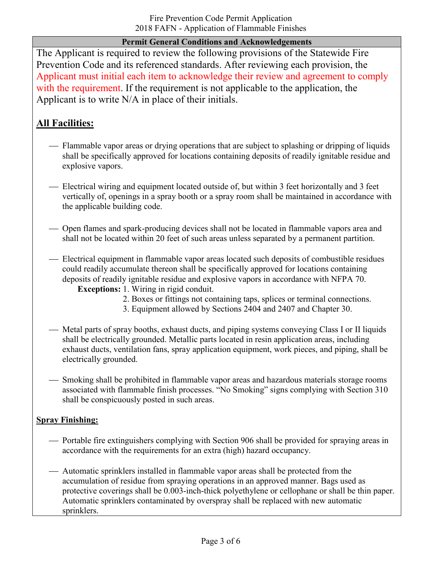## **Permit General Conditions and Acknowledgements**

The Applicant is required to review the following provisions of the Statewide Fire Prevention Code and its referenced standards. After reviewing each provision, the Applicant must initial each item to acknowledge their review and agreement to comply with the requirement. If the requirement is not applicable to the application, the Applicant is to write N/A in place of their initials.

# **All Facilities:**

- Flammable vapor areas or drying operations that are subject to splashing or dripping of liquids shall be specifically approved for locations containing deposits of readily ignitable residue and explosive vapors.
- Electrical wiring and equipment located outside of, but within 3 feet horizontally and 3 feet vertically of, openings in a spray booth or a spray room shall be maintained in accordance with the applicable building code.
- Open flames and spark-producing devices shall not be located in flammable vapors area and shall not be located within 20 feet of such areas unless separated by a permanent partition.
- Electrical equipment in flammable vapor areas located such deposits of combustible residues could readily accumulate thereon shall be specifically approved for locations containing deposits of readily ignitable residue and explosive vapors in accordance with NFPA 70.
	- **Exceptions:** 1. Wiring in rigid conduit.
		- 2. Boxes or fittings not containing taps, splices or terminal connections.
		- 3. Equipment allowed by Sections 2404 and 2407 and Chapter 30.
- Metal parts of spray booths, exhaust ducts, and piping systems conveying Class I or II liquids shall be electrically grounded. Metallic parts located in resin application areas, including exhaust ducts, ventilation fans, spray application equipment, work pieces, and piping, shall be electrically grounded.
- Smoking shall be prohibited in flammable vapor areas and hazardous materials storage rooms associated with flammable finish processes. "No Smoking" signs complying with Section 310 shall be conspicuously posted in such areas.

## **Spray Finishing:**

- Portable fire extinguishers complying with Section 906 shall be provided for spraying areas in accordance with the requirements for an extra (high) hazard occupancy.
- Automatic sprinklers installed in flammable vapor areas shall be protected from the accumulation of residue from spraying operations in an approved manner. Bags used as protective coverings shall be 0.003-inch-thick polyethylene or cellophane or shall be thin paper. Automatic sprinklers contaminated by overspray shall be replaced with new automatic sprinklers.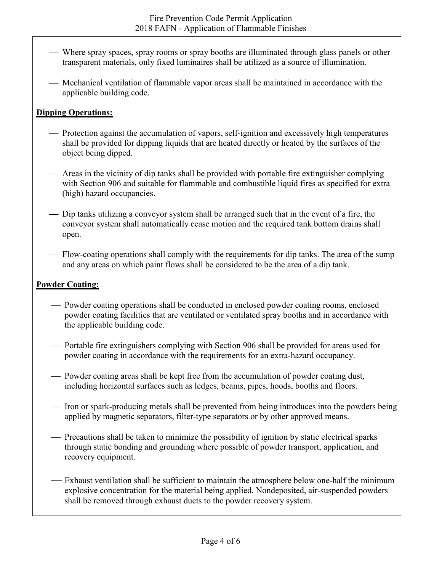- Where spray spaces, spray rooms or spray booths are illuminated through glass panels or other transparent materials, only fixed luminaires shall be utilized as a source of illumination.
- Mechanical ventilation of flammable vapor areas shall be maintained in accordance with the applicable building code.

## **Dipping Operations:**

- Protection against the accumulation of vapors, self-ignition and excessively high temperatures shall be provided for dipping liquids that are heated directly or heated by the surfaces of the object being dipped.
- Areas in the vicinity of dip tanks shall be provided with portable fire extinguisher complying with Section 906 and suitable for flammable and combustible liquid fires as specified for extra (high) hazard occupancies.
- Dip tanks utilizing a conveyor system shall be arranged such that in the event of a fire, the conveyor system shall automatically cease motion and the required tank bottom drains shall open.
- Flow-coating operations shall comply with the requirements for dip tanks. The area of the sump and any areas on which paint flows shall be considered to be the area of a dip tank.

#### **Powder Coating:**

- Powder coating operations shall be conducted in enclosed powder coating rooms, enclosed powder coating facilities that are ventilated or ventilated spray booths and in accordance with the applicable building code.
- Portable fire extinguishers complying with Section 906 shall be provided for areas used for powder coating in accordance with the requirements for an extra-hazard occupancy.
- Powder coating areas shall be kept free from the accumulation of powder coating dust, including horizontal surfaces such as ledges, beams, pipes, hoods, booths and floors.
- Iron or spark-producing metals shall be prevented from being introduces into the powders being applied by magnetic separators, filter-type separators or by other approved means.
- Precautions shall be taken to minimize the possibility of ignition by static electrical sparks through static bonding and grounding where possible of powder transport, application, and recovery equipment.
- Exhaust ventilation shall be sufficient to maintain the atmosphere below one-half the minimum explosive concentration for the material being applied. Nondeposited, air-suspended powders shall be removed through exhaust ducts to the powder recovery system.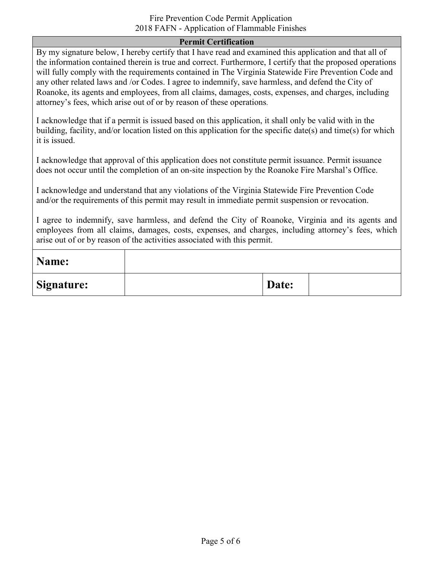#### Fire Prevention Code Permit Application 2018 FAFN - Application of Flammable Finishes

#### **Permit Certification**

By my signature below, I hereby certify that I have read and examined this application and that all of the information contained therein is true and correct. Furthermore, I certify that the proposed operations will fully comply with the requirements contained in The Virginia Statewide Fire Prevention Code and any other related laws and /or Codes. I agree to indemnify, save harmless, and defend the City of Roanoke, its agents and employees, from all claims, damages, costs, expenses, and charges, including attorney's fees, which arise out of or by reason of these operations.

I acknowledge that if a permit is issued based on this application, it shall only be valid with in the building, facility, and/or location listed on this application for the specific date(s) and time(s) for which it is issued.

I acknowledge that approval of this application does not constitute permit issuance. Permit issuance does not occur until the completion of an on-site inspection by the Roanoke Fire Marshal's Office.

I acknowledge and understand that any violations of the Virginia Statewide Fire Prevention Code and/or the requirements of this permit may result in immediate permit suspension or revocation.

I agree to indemnify, save harmless, and defend the City of Roanoke, Virginia and its agents and employees from all claims, damages, costs, expenses, and charges, including attorney's fees, which arise out of or by reason of the activities associated with this permit.

| Name:             |       |  |
|-------------------|-------|--|
| <b>Signature:</b> | Date: |  |